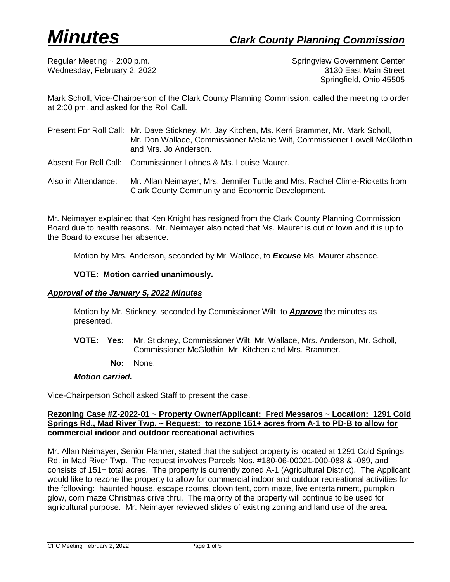Regular Meeting ~ 2:00 p.m. Springview Government Center Wednesday, February 2, 2022 **3130 East Main Street** Springfield, Ohio 45505

Mark Scholl, Vice-Chairperson of the Clark County Planning Commission, called the meeting to order at 2:00 pm. and asked for the Roll Call.

|                     | Present For Roll Call: Mr. Dave Stickney, Mr. Jay Kitchen, Ms. Kerri Brammer, Mr. Mark Scholl,<br>Mr. Don Wallace, Commissioner Melanie Wilt, Commissioner Lowell McGlothin<br>and Mrs. Jo Anderson. |
|---------------------|------------------------------------------------------------------------------------------------------------------------------------------------------------------------------------------------------|
|                     | Absent For Roll Call: Commissioner Lohnes & Ms. Louise Maurer.                                                                                                                                       |
| Also in Attendance: | Mr. Allan Neimayer, Mrs. Jennifer Tuttle and Mrs. Rachel Clime-Ricketts from<br>Clark County Community and Economic Development.                                                                     |

Mr. Neimayer explained that Ken Knight has resigned from the Clark County Planning Commission Board due to health reasons. Mr. Neimayer also noted that Ms. Maurer is out of town and it is up to the Board to excuse her absence.

Motion by Mrs. Anderson, seconded by Mr. Wallace, to *Excuse* Ms. Maurer absence.

# **VOTE: Motion carried unanimously.**

# *Approval of the January 5, 2022 Minutes*

Motion by Mr. Stickney, seconded by Commissioner Wilt, to *Approve* the minutes as presented.

- **VOTE: Yes:** Mr. Stickney, Commissioner Wilt, Mr. Wallace, Mrs. Anderson, Mr. Scholl, Commissioner McGlothin, Mr. Kitchen and Mrs. Brammer.
	- **No:** None.

# *Motion carried.*

Vice-Chairperson Scholl asked Staff to present the case.

# **Rezoning Case #Z-2022-01 ~ Property Owner/Applicant: Fred Messaros ~ Location: 1291 Cold Springs Rd., Mad River Twp. ~ Request: to rezone 151+ acres from A-1 to PD-B to allow for commercial indoor and outdoor recreational activities**

Mr. Allan Neimayer, Senior Planner, stated that the subject property is located at 1291 Cold Springs Rd. in Mad River Twp. The request involves Parcels Nos. #180-06-00021-000-088 & -089, and consists of 151+ total acres. The property is currently zoned A-1 (Agricultural District). The Applicant would like to rezone the property to allow for commercial indoor and outdoor recreational activities for the following: haunted house, escape rooms, clown tent, corn maze, live entertainment, pumpkin glow, corn maze Christmas drive thru. The majority of the property will continue to be used for agricultural purpose. Mr. Neimayer reviewed slides of existing zoning and land use of the area.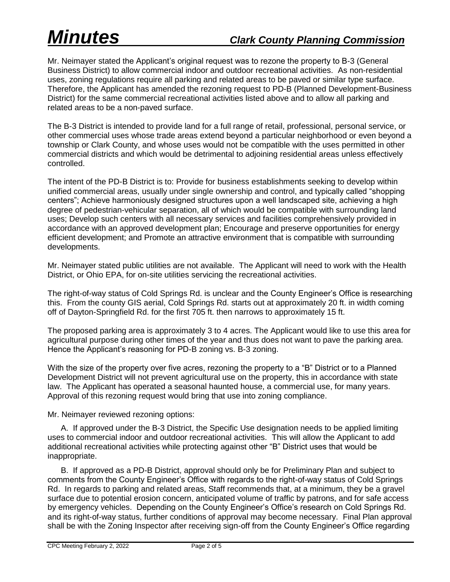Mr. Neimayer stated the Applicant's original request was to rezone the property to B-3 (General Business District) to allow commercial indoor and outdoor recreational activities. As non-residential uses, zoning regulations require all parking and related areas to be paved or similar type surface. Therefore, the Applicant has amended the rezoning request to PD-B (Planned Development-Business District) for the same commercial recreational activities listed above and to allow all parking and related areas to be a non-paved surface.

The B-3 District is intended to provide land for a full range of retail, professional, personal service, or other commercial uses whose trade areas extend beyond a particular neighborhood or even beyond a township or Clark County, and whose uses would not be compatible with the uses permitted in other commercial districts and which would be detrimental to adjoining residential areas unless effectively controlled.

The intent of the PD-B District is to: Provide for business establishments seeking to develop within unified commercial areas, usually under single ownership and control, and typically called "shopping centers"; Achieve harmoniously designed structures upon a well landscaped site, achieving a high degree of pedestrian-vehicular separation, all of which would be compatible with surrounding land uses; Develop such centers with all necessary services and facilities comprehensively provided in accordance with an approved development plan; Encourage and preserve opportunities for energy efficient development; and Promote an attractive environment that is compatible with surrounding developments.

Mr. Neimayer stated public utilities are not available. The Applicant will need to work with the Health District, or Ohio EPA, for on-site utilities servicing the recreational activities.

The right-of-way status of Cold Springs Rd. is unclear and the County Engineer's Office is researching this. From the county GIS aerial, Cold Springs Rd. starts out at approximately 20 ft. in width coming off of Dayton-Springfield Rd. for the first 705 ft. then narrows to approximately 15 ft.

The proposed parking area is approximately 3 to 4 acres. The Applicant would like to use this area for agricultural purpose during other times of the year and thus does not want to pave the parking area. Hence the Applicant's reasoning for PD-B zoning vs. B-3 zoning.

With the size of the property over five acres, rezoning the property to a "B" District or to a Planned Development District will not prevent agricultural use on the property, this in accordance with state law. The Applicant has operated a seasonal haunted house, a commercial use, for many years. Approval of this rezoning request would bring that use into zoning compliance.

Mr. Neimayer reviewed rezoning options:

A. If approved under the B-3 District, the Specific Use designation needs to be applied limiting uses to commercial indoor and outdoor recreational activities. This will allow the Applicant to add additional recreational activities while protecting against other "B" District uses that would be inappropriate.

B. If approved as a PD-B District, approval should only be for Preliminary Plan and subject to comments from the County Engineer's Office with regards to the right-of-way status of Cold Springs Rd. In regards to parking and related areas, Staff recommends that, at a minimum, they be a gravel surface due to potential erosion concern, anticipated volume of traffic by patrons, and for safe access by emergency vehicles. Depending on the County Engineer's Office's research on Cold Springs Rd. and its right-of-way status, further conditions of approval may become necessary. Final Plan approval shall be with the Zoning Inspector after receiving sign-off from the County Engineer's Office regarding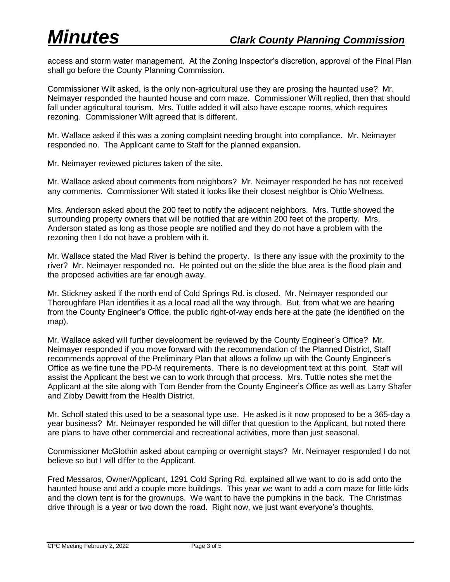access and storm water management. At the Zoning Inspector's discretion, approval of the Final Plan shall go before the County Planning Commission.

Commissioner Wilt asked, is the only non-agricultural use they are prosing the haunted use? Mr. Neimayer responded the haunted house and corn maze. Commissioner Wilt replied, then that should fall under agricultural tourism. Mrs. Tuttle added it will also have escape rooms, which requires rezoning. Commissioner Wilt agreed that is different.

Mr. Wallace asked if this was a zoning complaint needing brought into compliance. Mr. Neimayer responded no. The Applicant came to Staff for the planned expansion.

Mr. Neimayer reviewed pictures taken of the site.

Mr. Wallace asked about comments from neighbors? Mr. Neimayer responded he has not received any comments. Commissioner Wilt stated it looks like their closest neighbor is Ohio Wellness.

Mrs. Anderson asked about the 200 feet to notify the adjacent neighbors. Mrs. Tuttle showed the surrounding property owners that will be notified that are within 200 feet of the property. Mrs. Anderson stated as long as those people are notified and they do not have a problem with the rezoning then I do not have a problem with it.

Mr. Wallace stated the Mad River is behind the property. Is there any issue with the proximity to the river? Mr. Neimayer responded no. He pointed out on the slide the blue area is the flood plain and the proposed activities are far enough away.

Mr. Stickney asked if the north end of Cold Springs Rd. is closed. Mr. Neimayer responded our Thoroughfare Plan identifies it as a local road all the way through. But, from what we are hearing from the County Engineer's Office, the public right-of-way ends here at the gate (he identified on the map).

Mr. Wallace asked will further development be reviewed by the County Engineer's Office? Mr. Neimayer responded if you move forward with the recommendation of the Planned District, Staff recommends approval of the Preliminary Plan that allows a follow up with the County Engineer's Office as we fine tune the PD-M requirements. There is no development text at this point. Staff will assist the Applicant the best we can to work through that process. Mrs. Tuttle notes she met the Applicant at the site along with Tom Bender from the County Engineer's Office as well as Larry Shafer and Zibby Dewitt from the Health District.

Mr. Scholl stated this used to be a seasonal type use. He asked is it now proposed to be a 365-day a year business? Mr. Neimayer responded he will differ that question to the Applicant, but noted there are plans to have other commercial and recreational activities, more than just seasonal.

Commissioner McGlothin asked about camping or overnight stays? Mr. Neimayer responded I do not believe so but I will differ to the Applicant.

Fred Messaros, Owner/Applicant, 1291 Cold Spring Rd. explained all we want to do is add onto the haunted house and add a couple more buildings. This year we want to add a corn maze for little kids and the clown tent is for the grownups. We want to have the pumpkins in the back. The Christmas drive through is a year or two down the road. Right now, we just want everyone's thoughts.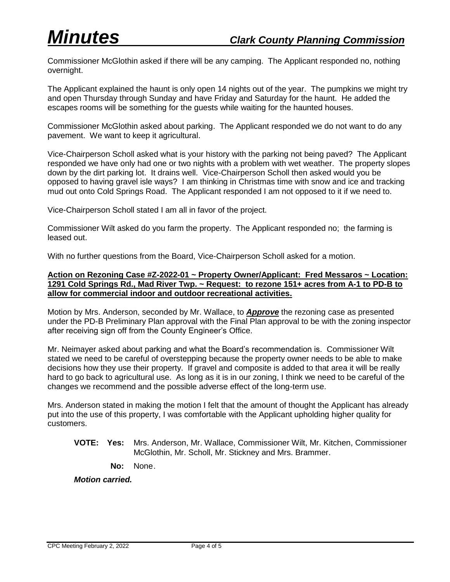Commissioner McGlothin asked if there will be any camping. The Applicant responded no, nothing overnight.

The Applicant explained the haunt is only open 14 nights out of the year. The pumpkins we might try and open Thursday through Sunday and have Friday and Saturday for the haunt. He added the escapes rooms will be something for the guests while waiting for the haunted houses.

Commissioner McGlothin asked about parking. The Applicant responded we do not want to do any pavement. We want to keep it agricultural.

Vice-Chairperson Scholl asked what is your history with the parking not being paved? The Applicant responded we have only had one or two nights with a problem with wet weather. The property slopes down by the dirt parking lot. It drains well. Vice-Chairperson Scholl then asked would you be opposed to having gravel isle ways? I am thinking in Christmas time with snow and ice and tracking mud out onto Cold Springs Road. The Applicant responded I am not opposed to it if we need to.

Vice-Chairperson Scholl stated I am all in favor of the project.

Commissioner Wilt asked do you farm the property. The Applicant responded no; the farming is leased out.

With no further questions from the Board, Vice-Chairperson Scholl asked for a motion.

# **Action on Rezoning Case #Z-2022-01 ~ Property Owner/Applicant: Fred Messaros ~ Location: 1291 Cold Springs Rd., Mad River Twp. ~ Request: to rezone 151+ acres from A-1 to PD-B to allow for commercial indoor and outdoor recreational activities.**

Motion by Mrs. Anderson, seconded by Mr. Wallace, to *Approve* the rezoning case as presented under the PD-B Preliminary Plan approval with the Final Plan approval to be with the zoning inspector after receiving sign off from the County Engineer's Office.

Mr. Neimayer asked about parking and what the Board's recommendation is. Commissioner Wilt stated we need to be careful of overstepping because the property owner needs to be able to make decisions how they use their property. If gravel and composite is added to that area it will be really hard to go back to agricultural use. As long as it is in our zoning, I think we need to be careful of the changes we recommend and the possible adverse effect of the long-term use.

Mrs. Anderson stated in making the motion I felt that the amount of thought the Applicant has already put into the use of this property, I was comfortable with the Applicant upholding higher quality for customers.

- **VOTE: Yes:** Mrs. Anderson, Mr. Wallace, Commissioner Wilt, Mr. Kitchen, Commissioner McGlothin, Mr. Scholl, Mr. Stickney and Mrs. Brammer.
	- **No:** None.

*Motion carried.*